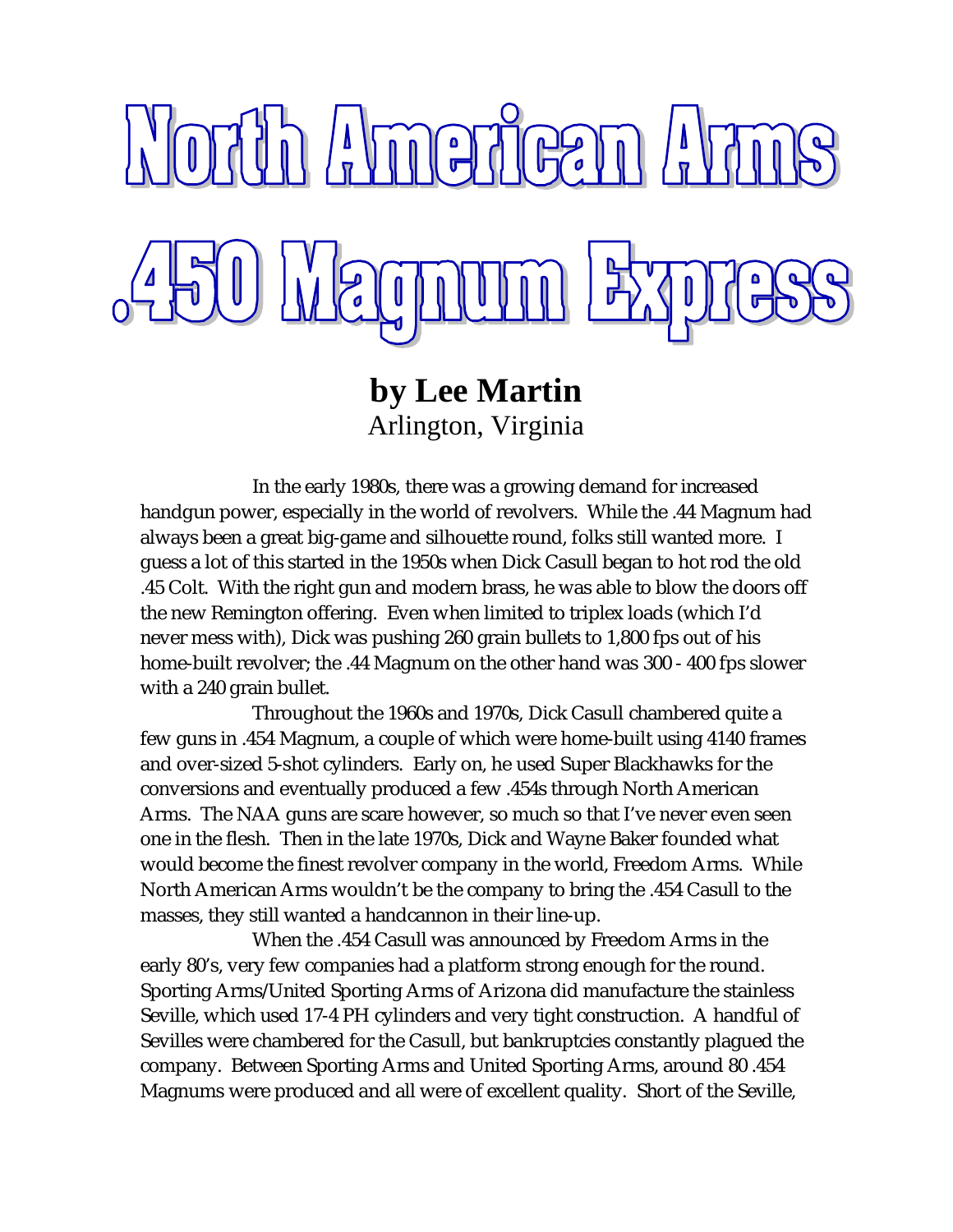

**by Lee Martin** Arlington, Virginia

In the early 1980s, there was a growing demand for increased handgun power, especially in the world of revolvers. While the .44 Magnum had always been a great big-game and silhouette round, folks still wanted more. I guess a lot of this started in the 1950s when Dick Casull began to hot rod the old .45 Colt. With the right gun and modern brass, he was able to blow the doors off the new Remington offering. Even when limited to triplex loads (which I'd never mess with), Dick was pushing 260 grain bullets to 1,800 fps out of his home-built revolver; the .44 Magnum on the other hand was 300 - 400 fps slower with a 240 grain bullet.

Throughout the 1960s and 1970s, Dick Casull chambered quite a few guns in .454 Magnum, a couple of which were home-built using 4140 frames and over-sized 5-shot cylinders. Early on, he used Super Blackhawks for the conversions and eventually produced a few .454s through North American Arms. The NAA guns are scare however, so much so that I've never even seen one in the flesh. Then in the late 1970s, Dick and Wayne Baker founded what would become the finest revolver company in the world, Freedom Arms. While North American Arms wouldn't be the company to bring the .454 Casull to the masses, they still wanted a handcannon in their line-up.

When the .454 Casull was announced by Freedom Arms in the early 80's, very few companies had a platform strong enough for the round. Sporting Arms/United Sporting Arms of Arizona did manufacture the stainless Seville, which used 17-4 PH cylinders and very tight construction. A handful of Sevilles were chambered for the Casull, but bankruptcies constantly plagued the company. Between Sporting Arms and United Sporting Arms, around 80 .454 Magnums were produced and all were of excellent quality. Short of the Seville,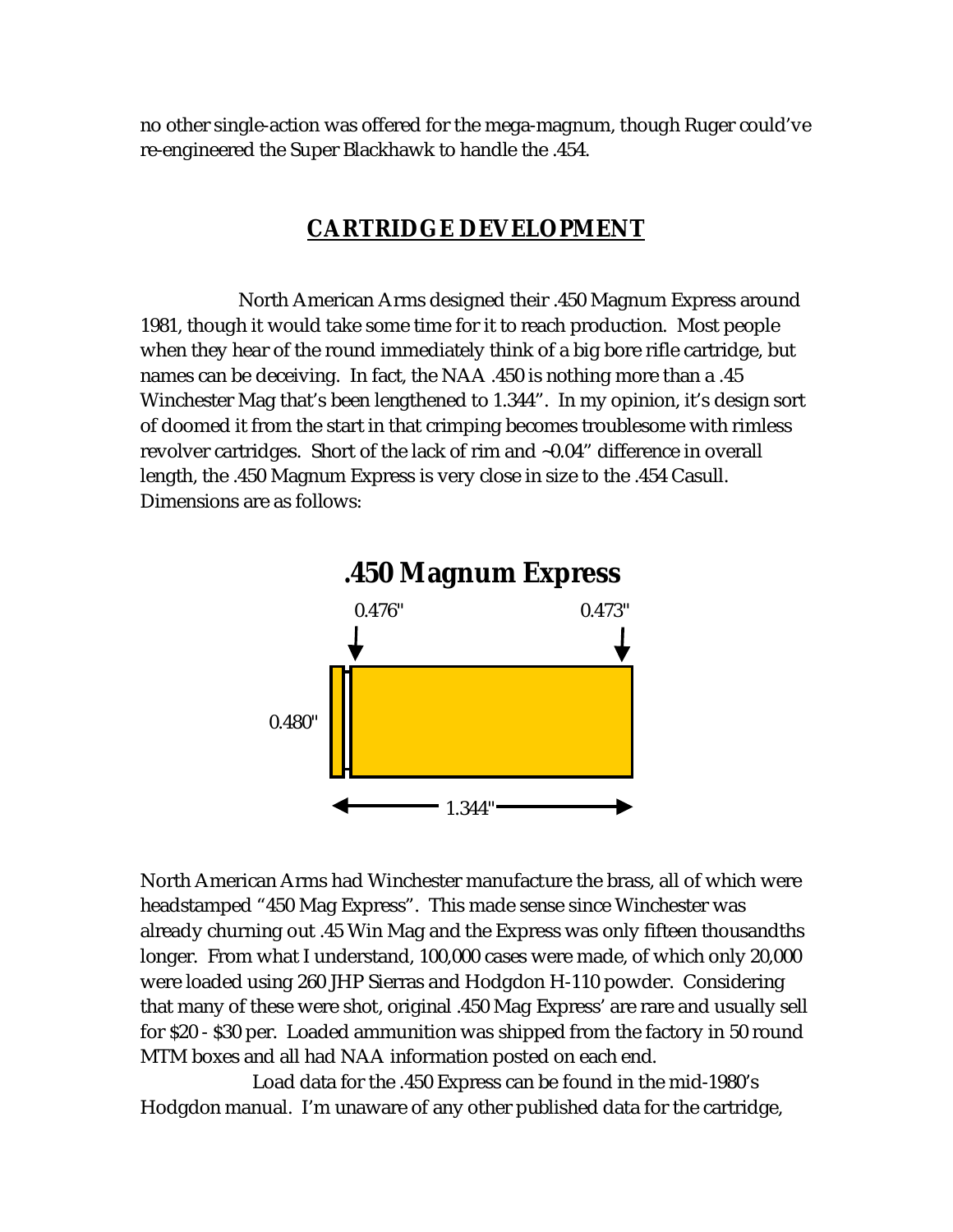no other single-action was offered for the mega-magnum, though Ruger could've re-engineered the Super Blackhawk to handle the .454.

## **CARTRIDGE DEVELOPMENT**

 North American Arms designed their .450 Magnum Express around 1981, though it would take some time for it to reach production. Most people when they hear of the round immediately think of a big bore rifle cartridge, but names can be deceiving. In fact, the NAA .450 is nothing more than a .45 Winchester Mag that's been lengthened to 1.344". In my opinion, it's design sort of doomed it from the start in that crimping becomes troublesome with rimless revolver cartridges. Short of the lack of rim and ~0.04" difference in overall length, the .450 Magnum Express is very close in size to the .454 Casull. Dimensions are as follows:



North American Arms had Winchester manufacture the brass, all of which were headstamped "450 Mag Express". This made sense since Winchester was already churning out .45 Win Mag and the Express was only fifteen thousandths longer. From what I understand, 100,000 cases were made, of which only 20,000 were loaded using 260 JHP Sierras and Hodgdon H-110 powder. Considering that many of these were shot, original .450 Mag Express' are rare and usually sell for \$20 - \$30 per. Loaded ammunition was shipped from the factory in 50 round MTM boxes and all had NAA information posted on each end.

Load data for the .450 Express can be found in the mid-1980's Hodgdon manual. I'm unaware of any other published data for the cartridge,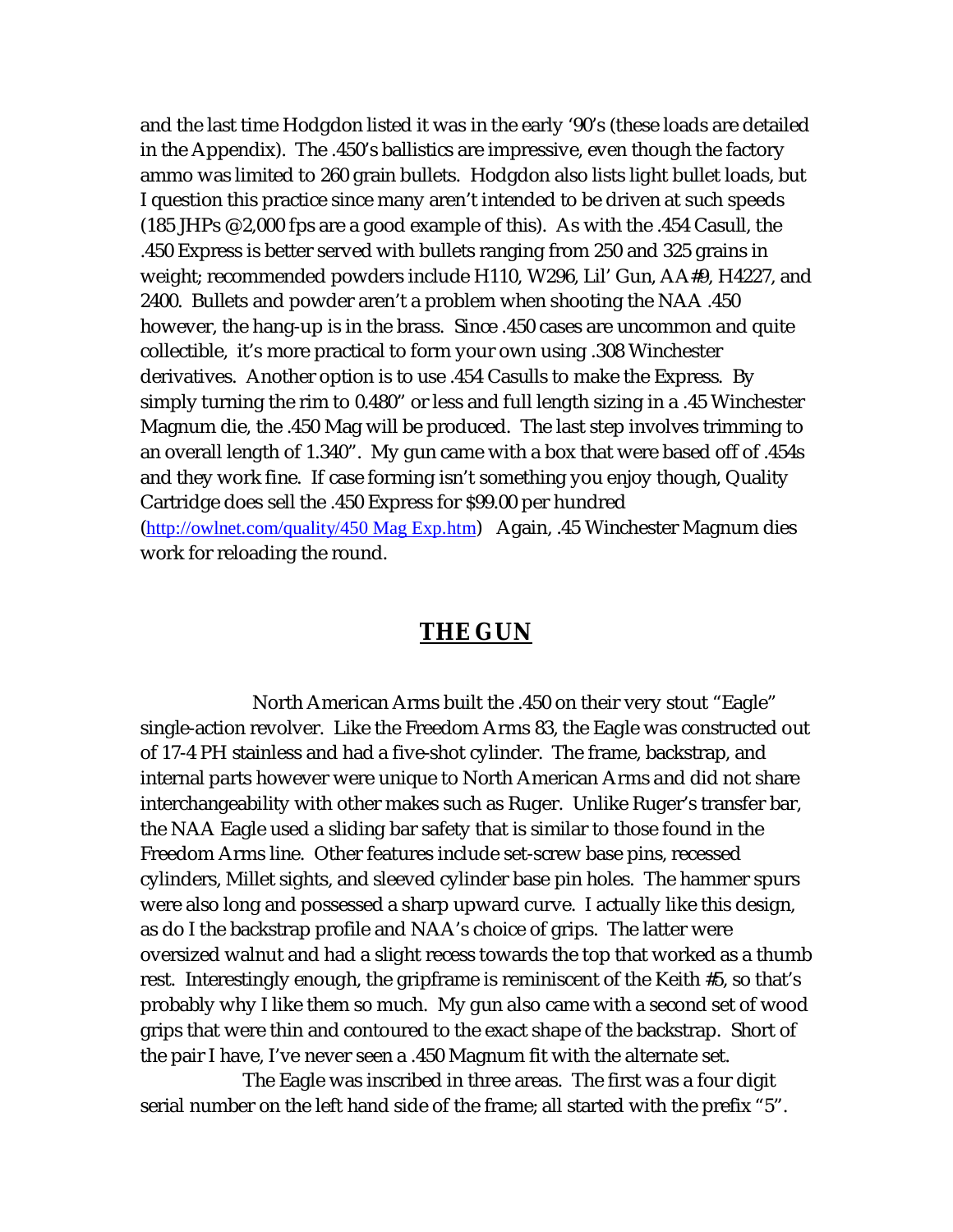and the last time Hodgdon listed it was in the early '90's (these loads are detailed in the Appendix). The .450's ballistics are impressive, even though the factory ammo was limited to 260 grain bullets. Hodgdon also lists light bullet loads, but I question this practice since many aren't intended to be driven at such speeds (185 JHPs @ 2,000 fps are a good example of this). As with the .454 Casull, the .450 Express is better served with bullets ranging from 250 and 325 grains in weight; recommended powders include H110, W296, Lil' Gun, AA#9, H4227, and 2400. Bullets and powder aren't a problem when shooting the NAA .450 however, the hang-up is in the brass. Since .450 cases are uncommon and quite collectible, it's more practical to form your own using .308 Winchester derivatives. Another option is to use .454 Casulls to make the Express. By simply turning the rim to 0.480" or less and full length sizing in a .45 Winchester Magnum die, the .450 Mag will be produced. The last step involves trimming to an overall length of 1.340". My gun came with a box that were based off of .454s and they work fine. If case forming isn't something you enjoy though, Quality Cartridge does sell the .450 Express for \$99.00 per hundred (http://owlnet.com/quality/450 Mag Exp.htm) Again, .45 Winchester Magnum dies work for reloading the round.

## **THE GUN**

North American Arms built the .450 on their very stout "Eagle" single-action revolver. Like the Freedom Arms 83, the Eagle was constructed out of 17-4 PH stainless and had a five-shot cylinder. The frame, backstrap, and internal parts however were unique to North American Arms and did not share interchangeability with other makes such as Ruger. Unlike Ruger's transfer bar, the NAA Eagle used a sliding bar safety that is similar to those found in the Freedom Arms line. Other features include set-screw base pins, recessed cylinders, Millet sights, and sleeved cylinder base pin holes. The hammer spurs were also long and possessed a sharp upward curve. I actually like this design, as do I the backstrap profile and NAA's choice of grips. The latter were oversized walnut and had a slight recess towards the top that worked as a thumb rest. Interestingly enough, the gripframe is reminiscent of the Keith #5, so that's probably why I like them so much. My gun also came with a second set of wood grips that were thin and contoured to the exact shape of the backstrap. Short of the pair I have, I've never seen a .450 Magnum fit with the alternate set.

 The Eagle was inscribed in three areas. The first was a four digit serial number on the left hand side of the frame; all started with the prefix "5".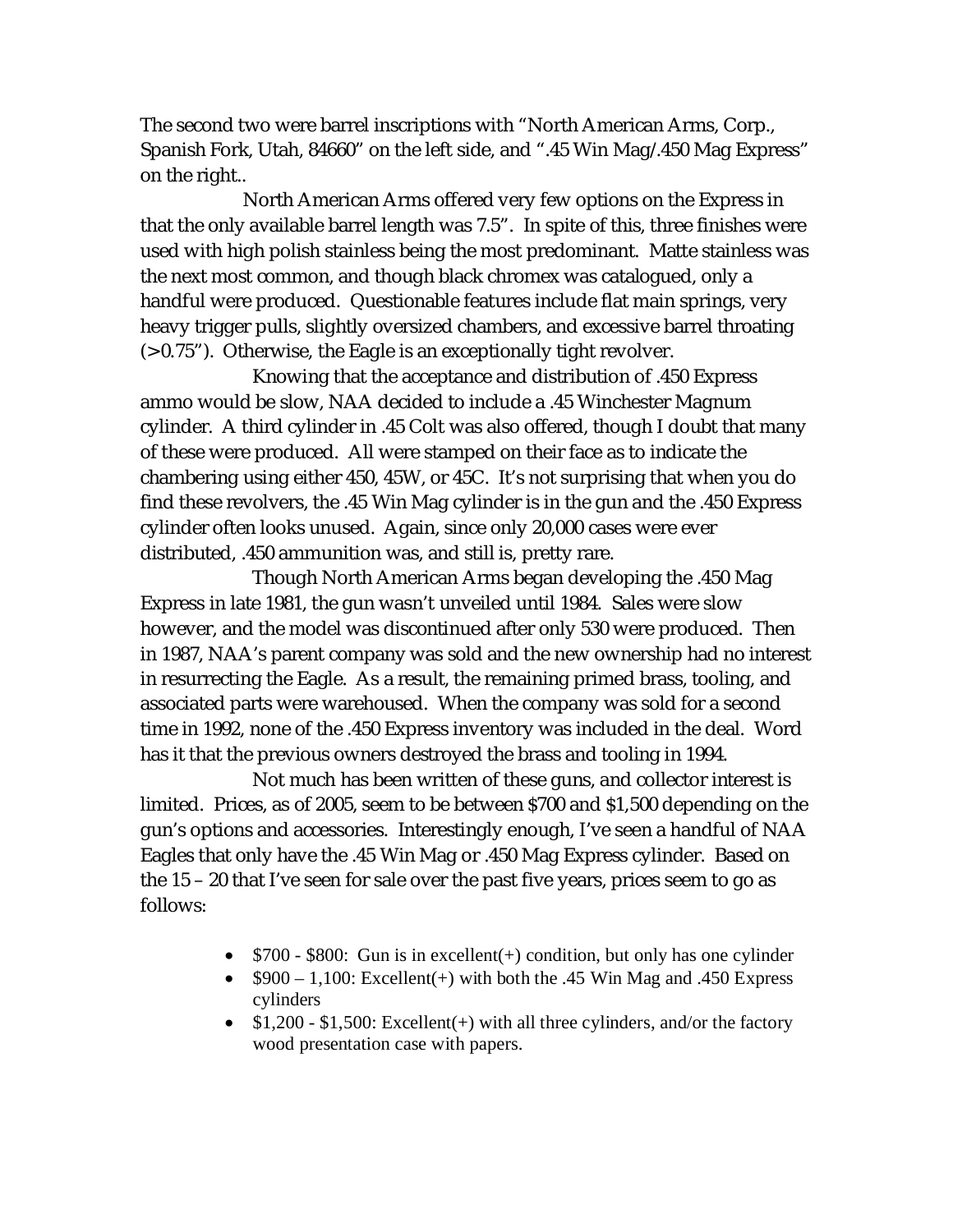The second two were barrel inscriptions with "North American Arms, Corp., Spanish Fork, Utah, 84660" on the left side, and ".45 Win Mag/.450 Mag Express" on the right..

 North American Arms offered very few options on the Express in that the only available barrel length was 7.5". In spite of this, three finishes were used with high polish stainless being the most predominant. Matte stainless was the next most common, and though black chromex was catalogued, only a handful were produced. Questionable features include flat main springs, very heavy trigger pulls, slightly oversized chambers, and excessive barrel throating (> 0.75"). Otherwise, the Eagle is an exceptionally tight revolver.

Knowing that the acceptance and distribution of .450 Express ammo would be slow, NAA decided to include a .45 Winchester Magnum cylinder. A third cylinder in .45 Colt was also offered, though I doubt that many of these were produced. All were stamped on their face as to indicate the chambering using either 450, 45W, or 45C. It's not surprising that when you do find these revolvers, the .45 Win Mag cylinder is in the gun and the .450 Express cylinder often looks unused. Again, since only 20,000 cases were ever distributed, .450 ammunition was, and still is, pretty rare.

Though North American Arms began developing the .450 Mag Express in late 1981, the gun wasn't unveiled until 1984. Sales were slow however, and the model was discontinued after only 530 were produced. Then in 1987, NAA's parent company was sold and the new ownership had no interest in resurrecting the Eagle. As a result, the remaining primed brass, tooling, and associated parts were warehoused. When the company was sold for a second time in 1992, none of the .450 Express inventory was included in the deal. Word has it that the previous owners destroyed the brass and tooling in 1994.

Not much has been written of these guns, and collector interest is limited. Prices, as of 2005, seem to be between \$700 and \$1,500 depending on the gun's options and accessories. Interestingly enough, I've seen a handful of NAA Eagles that only have the .45 Win Mag or .450 Mag Express cylinder. Based on the 15 – 20 that I've seen for sale over the past five years, prices seem to go as follows:

- $\bullet$  \$700 \$800: Gun is in excellent(+) condition, but only has one cylinder
- $$900 1,100$ : Excellent(+) with both the .45 Win Mag and .450 Express cylinders
- $\bullet$  \$1,200 \$1,500: Excellent(+) with all three cylinders, and/or the factory wood presentation case with papers.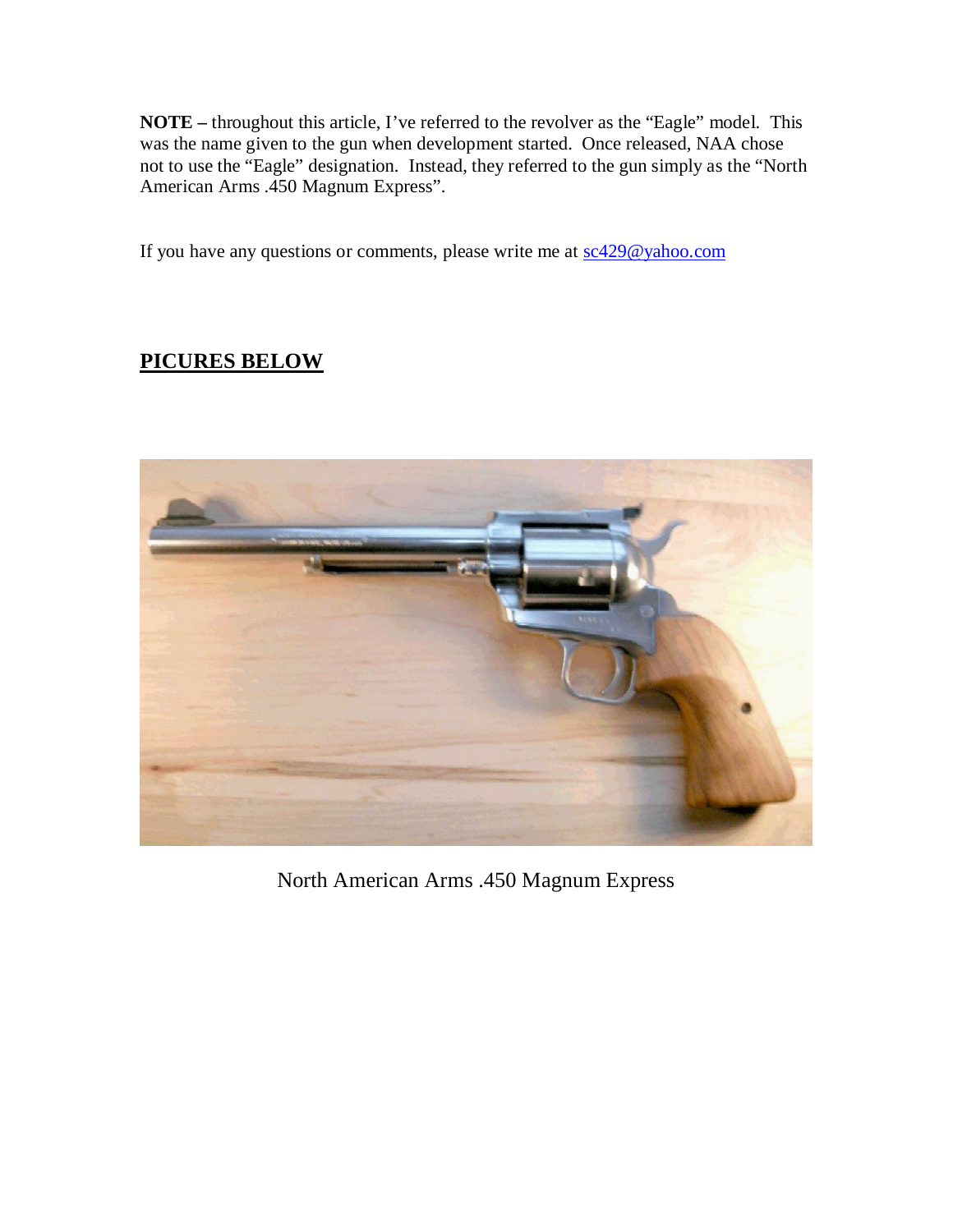**NOTE –** throughout this article, I've referred to the revolver as the "Eagle" model. This was the name given to the gun when development started. Once released, NAA chose not to use the "Eagle" designation. Instead, they referred to the gun simply as the "North American Arms .450 Magnum Express".

If you have any questions or comments, please write me at  $sc429@yahoo.com$ 

## **PICURES BELOW**



North American Arms .450 Magnum Express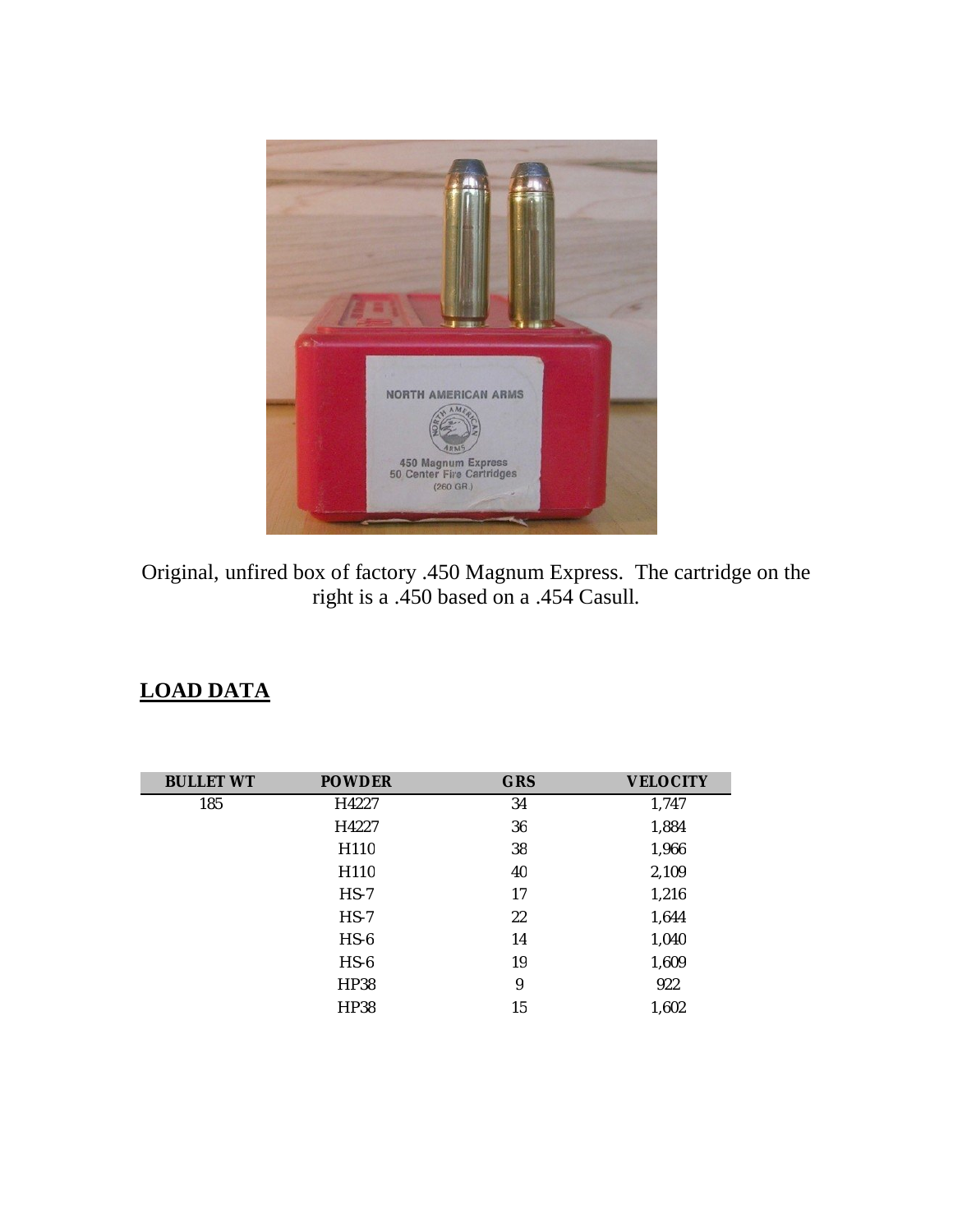

Original, unfired box of factory .450 Magnum Express. The cartridge on the right is a .450 based on a .454 Casull.

## **LOAD DATA**

| <b>BULLET WT</b> | <b>POWDER</b> | <b>GRS</b> | <b>VELOCITY</b> |
|------------------|---------------|------------|-----------------|
| 185              | H4227         | 34         | 1,747           |
|                  | H4227         | 36         | 1,884           |
|                  | H110          | 38         | 1,966           |
|                  | H110          | 40         | 2,109           |
|                  | $HS-7$        | 17         | 1,216           |
|                  | $HS-7$        | 22         | 1,644           |
|                  | $HS-6$        | 14         | 1,040           |
|                  | $HS-6$        | 19         | 1,609           |
|                  | <b>HP38</b>   | 9          | 922             |
|                  | HP38          | 15         | 1,602           |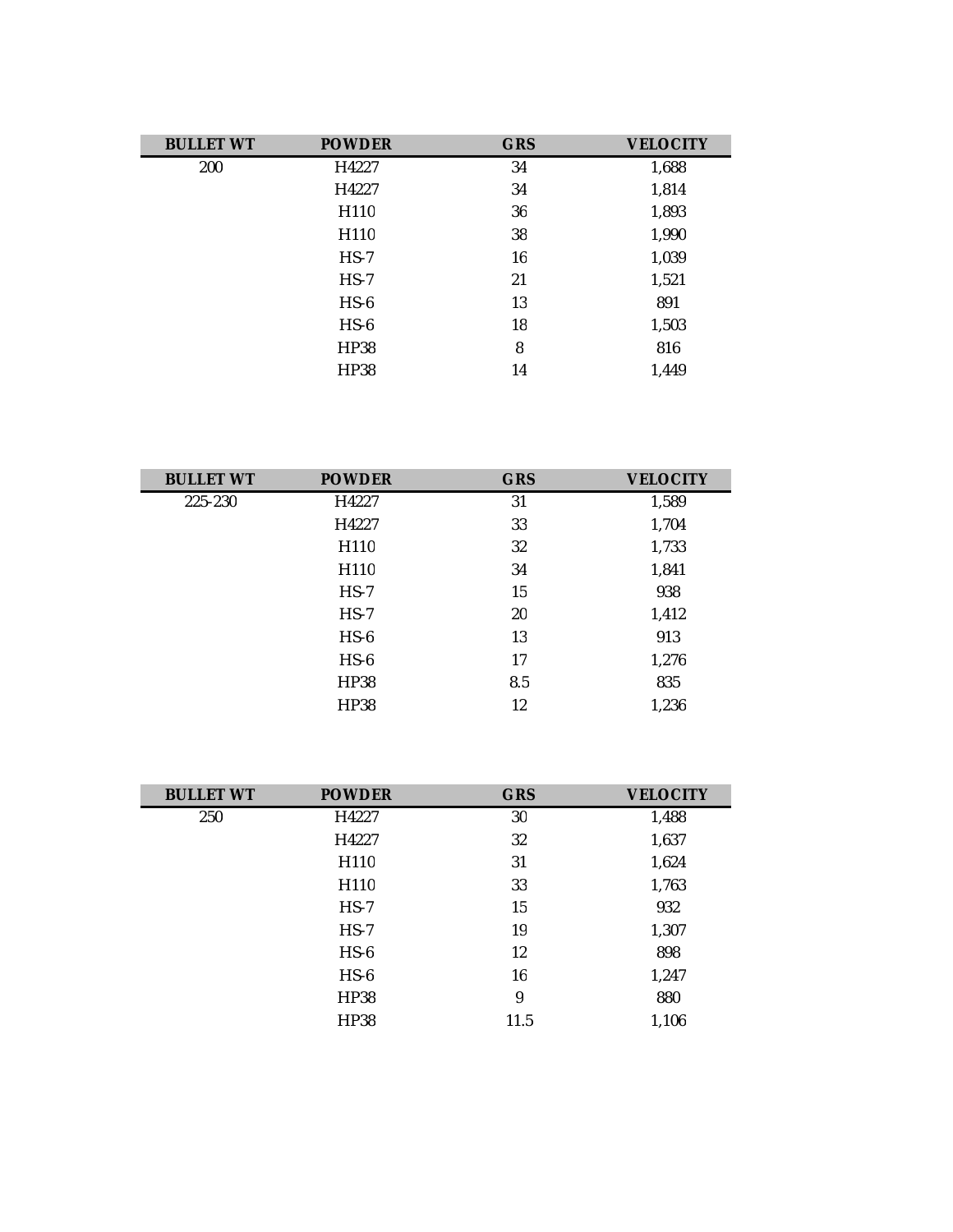| <b>BULLET WT</b> | <b>POWDER</b> | <b>GRS</b> | <b>VELOCITY</b> |
|------------------|---------------|------------|-----------------|
| 200              | H4227         | 34         | 1,688           |
|                  | H4227         | 34         | 1,814           |
|                  | H110          | 36         | 1,893           |
|                  | H110          | 38         | 1,990           |
|                  | $HS-7$        | 16         | 1,039           |
|                  | $HS-7$        | 21         | 1,521           |
|                  | $HS-6$        | 13         | 891             |
|                  | $HS-6$        | 18         | 1,503           |
|                  | <b>HP38</b>   | 8          | 816             |
|                  | HP38          | 14         | 1,449           |

| <b>BULLET WT</b> | <b>POWDER</b> | <b>GRS</b> | <b>VELOCITY</b> |
|------------------|---------------|------------|-----------------|
| 225-230          | H4227         | 31         | 1,589           |
|                  | H4227         | 33         | 1,704           |
|                  | H110          | 32         | 1,733           |
|                  | H110          | 34         | 1,841           |
|                  | $HS-7$        | 15         | 938             |
|                  | $HS-7$        | 20         | 1,412           |
|                  | $HS-6$        | 13         | 913             |
|                  | $HS-6$        | 17         | 1,276           |
|                  | <b>HP38</b>   | 8.5        | 835             |
|                  | HP38          | 12         | 1,236           |

| <b>BULLET WT</b> | <b>POWDER</b> | <b>GRS</b> | <b>VELOCITY</b> |
|------------------|---------------|------------|-----------------|
| 250              | H4227         | 30         | 1,488           |
|                  | H4227         | 32         | 1,637           |
|                  | H110          | 31         | 1,624           |
|                  | H110          | 33         | 1,763           |
|                  | $HS-7$        | 15         | 932             |
|                  | $HS-7$        | 19         | 1,307           |
|                  | $HS-6$        | 12         | 898             |
|                  | $HS-6$        | 16         | 1,247           |
|                  | <b>HP38</b>   | 9          | 880             |
|                  | HP38          | 11.5       | 1,106           |